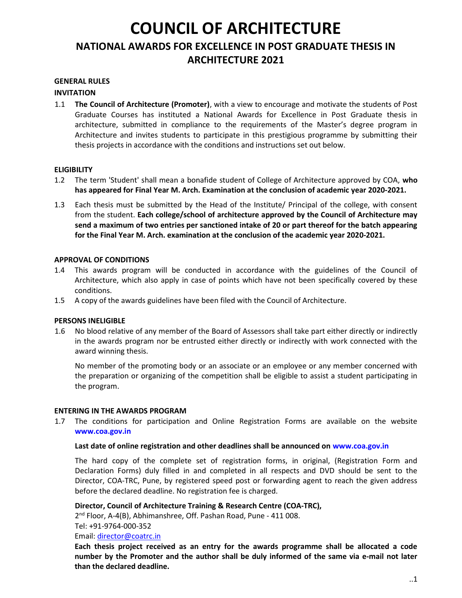# COUNCIL OF ARCHITECTURE NATIONAL AWARDS FOR EXCELLENCE IN POST GRADUATE THESIS IN ARCHITECTURE 2021

### GENERAL RULES

### INVITATION

1.1 The Council of Architecture (Promoter), with a view to encourage and motivate the students of Post Graduate Courses has instituted a National Awards for Excellence in Post Graduate thesis in architecture, submitted in compliance to the requirements of the Master's degree program in Architecture and invites students to participate in this prestigious programme by submitting their thesis projects in accordance with the conditions and instructions set out below.

## **ELIGIBILITY**

- 1.2 The term 'Student' shall mean a bonafide student of College of Architecture approved by COA, who has appeared for Final Year M. Arch. Examination at the conclusion of academic year 2020-2021.
- 1.3 Each thesis must be submitted by the Head of the Institute/ Principal of the college, with consent from the student. Each college/school of architecture approved by the Council of Architecture may send a maximum of two entries per sanctioned intake of 20 or part thereof for the batch appearing for the Final Year M. Arch. examination at the conclusion of the academic year 2020-2021.

### APPROVAL OF CONDITIONS

- 1.4 This awards program will be conducted in accordance with the guidelines of the Council of Architecture, which also apply in case of points which have not been specifically covered by these conditions.
- 1.5 A copy of the awards guidelines have been filed with the Council of Architecture.

### PERSONS INELIGIBLE

1.6 No blood relative of any member of the Board of Assessors shall take part either directly or indirectly in the awards program nor be entrusted either directly or indirectly with work connected with the award winning thesis.

No member of the promoting body or an associate or an employee or any member concerned with the preparation or organizing of the competition shall be eligible to assist a student participating in the program.

### ENTERING IN THE AWARDS PROGRAM

1.7 The conditions for participation and Online Registration Forms are available on the website www.coa.gov.in

### Last date of online registration and other deadlines shall be announced on www.coa.gov.in

The hard copy of the complete set of registration forms, in original, (Registration Form and Declaration Forms) duly filled in and completed in all respects and DVD should be sent to the Director, COA-TRC, Pune, by registered speed post or forwarding agent to reach the given address before the declared deadline. No registration fee is charged.

## Director, Council of Architecture Training & Research Centre (COA-TRC),

2<sup>nd</sup> Floor, A-4(B), Abhimanshree, Off. Pashan Road, Pune - 411 008.

Tel: +91-9764-000-352

Email: director@coatrc.in

Each thesis project received as an entry for the awards programme shall be allocated a code number by the Promoter and the author shall be duly informed of the same via e-mail not later than the declared deadline.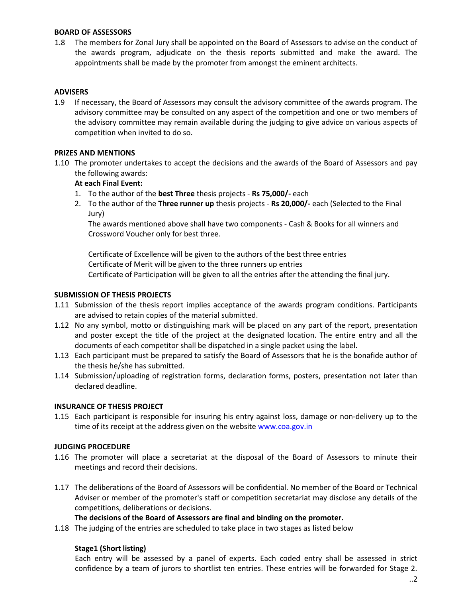#### BOARD OF ASSESSORS

1.8 The members for Zonal Jury shall be appointed on the Board of Assessors to advise on the conduct of the awards program, adjudicate on the thesis reports submitted and make the award. The appointments shall be made by the promoter from amongst the eminent architects.

### ADVISERS

1.9 If necessary, the Board of Assessors may consult the advisory committee of the awards program. The advisory committee may be consulted on any aspect of the competition and one or two members of the advisory committee may remain available during the judging to give advice on various aspects of competition when invited to do so.

#### PRIZES AND MENTIONS

1.10 The promoter undertakes to accept the decisions and the awards of the Board of Assessors and pay the following awards:

### At each Final Event:

- 1. To the author of the best Three thesis projects Rs 75,000/- each
- 2. To the author of the Three runner up thesis projects Rs 20,000/- each (Selected to the Final Jury)

The awards mentioned above shall have two components - Cash & Books for all winners and Crossword Voucher only for best three.

Certificate of Excellence will be given to the authors of the best three entries Certificate of Merit will be given to the three runners up entries Certificate of Participation will be given to all the entries after the attending the final jury.

### SUBMISSION OF THESIS PROJECTS

- 1.11 Submission of the thesis report implies acceptance of the awards program conditions. Participants are advised to retain copies of the material submitted.
- 1.12 No any symbol, motto or distinguishing mark will be placed on any part of the report, presentation and poster except the title of the project at the designated location. The entire entry and all the documents of each competitor shall be dispatched in a single packet using the label.
- 1.13 Each participant must be prepared to satisfy the Board of Assessors that he is the bonafide author of the thesis he/she has submitted.
- 1.14 Submission/uploading of registration forms, declaration forms, posters, presentation not later than declared deadline.

#### INSURANCE OF THESIS PROJECT

1.15 Each participant is responsible for insuring his entry against loss, damage or non-delivery up to the time of its receipt at the address given on the website www.coa.gov.in

### JUDGING PROCEDURE

- 1.16 The promoter will place a secretariat at the disposal of the Board of Assessors to minute their meetings and record their decisions.
- 1.17 The deliberations of the Board of Assessors will be confidential. No member of the Board or Technical Adviser or member of the promoter's staff or competition secretariat may disclose any details of the competitions, deliberations or decisions.

The decisions of the Board of Assessors are final and binding on the promoter.

1.18 The judging of the entries are scheduled to take place in two stages as listed below

### Stage1 (Short listing)

Each entry will be assessed by a panel of experts. Each coded entry shall be assessed in strict confidence by a team of jurors to shortlist ten entries. These entries will be forwarded for Stage 2.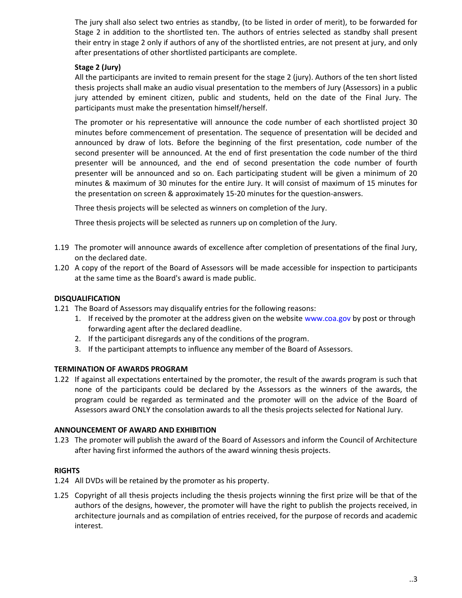The jury shall also select two entries as standby, (to be listed in order of merit), to be forwarded for Stage 2 in addition to the shortlisted ten. The authors of entries selected as standby shall present their entry in stage 2 only if authors of any of the shortlisted entries, are not present at jury, and only after presentations of other shortlisted participants are complete.

## Stage 2 (Jury)

All the participants are invited to remain present for the stage 2 (jury). Authors of the ten short listed thesis projects shall make an audio visual presentation to the members of Jury (Assessors) in a public jury attended by eminent citizen, public and students, held on the date of the Final Jury. The participants must make the presentation himself/herself.

The promoter or his representative will announce the code number of each shortlisted project 30 minutes before commencement of presentation. The sequence of presentation will be decided and announced by draw of lots. Before the beginning of the first presentation, code number of the second presenter will be announced. At the end of first presentation the code number of the third presenter will be announced, and the end of second presentation the code number of fourth presenter will be announced and so on. Each participating student will be given a minimum of 20 minutes & maximum of 30 minutes for the entire Jury. It will consist of maximum of 15 minutes for the presentation on screen & approximately 15-20 minutes for the question-answers.

Three thesis projects will be selected as winners on completion of the Jury.

Three thesis projects will be selected as runners up on completion of the Jury.

- 1.19 The promoter will announce awards of excellence after completion of presentations of the final Jury, on the declared date.
- 1.20 A copy of the report of the Board of Assessors will be made accessible for inspection to participants at the same time as the Board's award is made public.

## DISQUALIFICATION

- 1.21 The Board of Assessors may disqualify entries for the following reasons:
	- 1. If received by the promoter at the address given on the website www.coa.gov by post or through forwarding agent after the declared deadline.
	- 2. If the participant disregards any of the conditions of the program.
	- 3. If the participant attempts to influence any member of the Board of Assessors.

### TERMINATION OF AWARDS PROGRAM

1.22 If against all expectations entertained by the promoter, the result of the awards program is such that none of the participants could be declared by the Assessors as the winners of the awards, the program could be regarded as terminated and the promoter will on the advice of the Board of Assessors award ONLY the consolation awards to all the thesis projects selected for National Jury.

### ANNOUNCEMENT OF AWARD AND EXHIBITION

1.23 The promoter will publish the award of the Board of Assessors and inform the Council of Architecture after having first informed the authors of the award winning thesis projects.

## RIGHTS

- 1.24 All DVDs will be retained by the promoter as his property.
- 1.25 Copyright of all thesis projects including the thesis projects winning the first prize will be that of the authors of the designs, however, the promoter will have the right to publish the projects received, in architecture journals and as compilation of entries received, for the purpose of records and academic interest.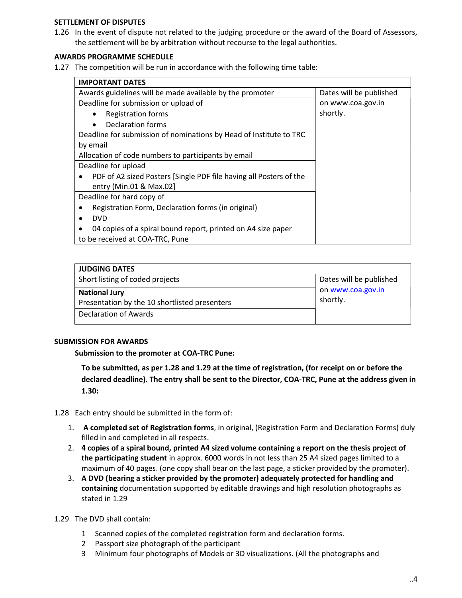### SETTLEMENT OF DISPUTES

1.26 In the event of dispute not related to the judging procedure or the award of the Board of Assessors, the settlement will be by arbitration without recourse to the legal authorities.

## AWARDS PROGRAMME SCHEDULE

1.27 The competition will be run in accordance with the following time table:

| <b>IMPORTANT DATES</b>                                             |                         |
|--------------------------------------------------------------------|-------------------------|
| Awards guidelines will be made available by the promoter           | Dates will be published |
| Deadline for submission or upload of                               | on www.coa.gov.in       |
| <b>Registration forms</b>                                          | shortly.                |
| <b>Declaration forms</b>                                           |                         |
| Deadline for submission of nominations by Head of Institute to TRC |                         |
| by email                                                           |                         |
| Allocation of code numbers to participants by email                |                         |
| Deadline for upload                                                |                         |
| PDF of A2 sized Posters [Single PDF file having all Posters of the |                         |
| entry (Min.01 & Max.02]                                            |                         |
| Deadline for hard copy of                                          |                         |
| Registration Form, Declaration forms (in original)                 |                         |
| <b>DVD</b>                                                         |                         |
| 04 copies of a spiral bound report, printed on A4 size paper       |                         |
| to be received at COA-TRC, Pune                                    |                         |

| <b>JUDGING DATES</b>                                                  |                               |
|-----------------------------------------------------------------------|-------------------------------|
| Short listing of coded projects                                       | Dates will be published       |
| <b>National Jury</b><br>Presentation by the 10 shortlisted presenters | on www.coa.gov.in<br>shortly. |
| Declaration of Awards                                                 |                               |

### SUBMISSION FOR AWARDS

Submission to the promoter at COA-TRC Pune:

To be submitted, as per 1.28 and 1.29 at the time of registration, (for receipt on or before the declared deadline). The entry shall be sent to the Director, COA-TRC, Pune at the address given in 1.30:

- 1.28 Each entry should be submitted in the form of:
	- 1. A completed set of Registration forms, in original, (Registration Form and Declaration Forms) duly filled in and completed in all respects.
	- 2. 4 copies of a spiral bound, printed A4 sized volume containing a report on the thesis project of the participating student in approx. 6000 words in not less than 25 A4 sized pages limited to a maximum of 40 pages. (one copy shall bear on the last page, a sticker provided by the promoter).
	- 3. A DVD (bearing a sticker provided by the promoter) adequately protected for handling and containing documentation supported by editable drawings and high resolution photographs as stated in 1.29
- 1.29 The DVD shall contain:
	- 1 Scanned copies of the completed registration form and declaration forms.
	- 2 Passport size photograph of the participant
	- 3 Minimum four photographs of Models or 3D visualizations. (All the photographs and